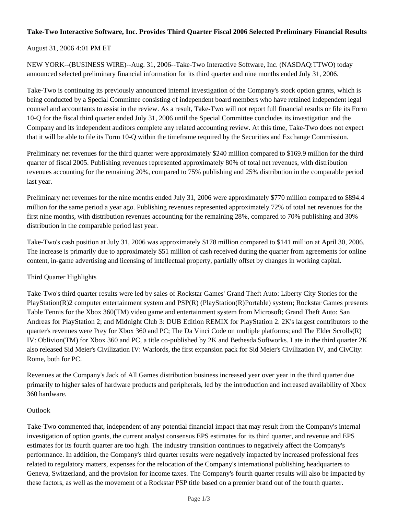## **Take-Two Interactive Software, Inc. Provides Third Quarter Fiscal 2006 Selected Preliminary Financial Results**

August 31, 2006 4:01 PM ET

NEW YORK--(BUSINESS WIRE)--Aug. 31, 2006--Take-Two Interactive Software, Inc. (NASDAQ:TTWO) today announced selected preliminary financial information for its third quarter and nine months ended July 31, 2006.

Take-Two is continuing its previously announced internal investigation of the Company's stock option grants, which is being conducted by a Special Committee consisting of independent board members who have retained independent legal counsel and accountants to assist in the review. As a result, Take-Two will not report full financial results or file its Form 10-Q for the fiscal third quarter ended July 31, 2006 until the Special Committee concludes its investigation and the Company and its independent auditors complete any related accounting review. At this time, Take-Two does not expect that it will be able to file its Form 10-Q within the timeframe required by the Securities and Exchange Commission.

Preliminary net revenues for the third quarter were approximately \$240 million compared to \$169.9 million for the third quarter of fiscal 2005. Publishing revenues represented approximately 80% of total net revenues, with distribution revenues accounting for the remaining 20%, compared to 75% publishing and 25% distribution in the comparable period last year.

Preliminary net revenues for the nine months ended July 31, 2006 were approximately \$770 million compared to \$894.4 million for the same period a year ago. Publishing revenues represented approximately 72% of total net revenues for the first nine months, with distribution revenues accounting for the remaining 28%, compared to 70% publishing and 30% distribution in the comparable period last year.

Take-Two's cash position at July 31, 2006 was approximately \$178 million compared to \$141 million at April 30, 2006. The increase is primarily due to approximately \$51 million of cash received during the quarter from agreements for online content, in-game advertising and licensing of intellectual property, partially offset by changes in working capital.

# Third Quarter Highlights

Take-Two's third quarter results were led by sales of Rockstar Games' Grand Theft Auto: Liberty City Stories for the PlayStation(R)2 computer entertainment system and PSP(R) (PlayStation(R)Portable) system; Rockstar Games presents Table Tennis for the Xbox 360(TM) video game and entertainment system from Microsoft; Grand Theft Auto: San Andreas for PlayStation 2; and Midnight Club 3: DUB Edition REMIX for PlayStation 2. 2K's largest contributors to the quarter's revenues were Prey for Xbox 360 and PC; The Da Vinci Code on multiple platforms; and The Elder Scrolls(R) IV: Oblivion(TM) for Xbox 360 and PC, a title co-published by 2K and Bethesda Softworks. Late in the third quarter 2K also released Sid Meier's Civilization IV: Warlords, the first expansion pack for Sid Meier's Civilization IV, and CivCity: Rome, both for PC.

Revenues at the Company's Jack of All Games distribution business increased year over year in the third quarter due primarily to higher sales of hardware products and peripherals, led by the introduction and increased availability of Xbox 360 hardware.

### Outlook

Take-Two commented that, independent of any potential financial impact that may result from the Company's internal investigation of option grants, the current analyst consensus EPS estimates for its third quarter, and revenue and EPS estimates for its fourth quarter are too high. The industry transition continues to negatively affect the Company's performance. In addition, the Company's third quarter results were negatively impacted by increased professional fees related to regulatory matters, expenses for the relocation of the Company's international publishing headquarters to Geneva, Switzerland, and the provision for income taxes. The Company's fourth quarter results will also be impacted by these factors, as well as the movement of a Rockstar PSP title based on a premier brand out of the fourth quarter.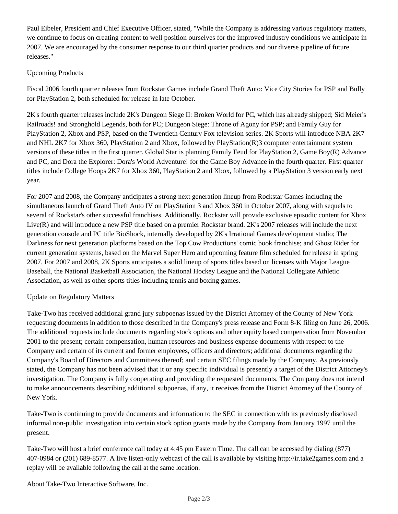Paul Eibeler, President and Chief Executive Officer, stated, "While the Company is addressing various regulatory matters, we continue to focus on creating content to well position ourselves for the improved industry conditions we anticipate in 2007. We are encouraged by the consumer response to our third quarter products and our diverse pipeline of future releases."

# Upcoming Products

Fiscal 2006 fourth quarter releases from Rockstar Games include Grand Theft Auto: Vice City Stories for PSP and Bully for PlayStation 2, both scheduled for release in late October.

2K's fourth quarter releases include 2K's Dungeon Siege II: Broken World for PC, which has already shipped; Sid Meier's Railroads! and Stronghold Legends, both for PC; Dungeon Siege: Throne of Agony for PSP; and Family Guy for PlayStation 2, Xbox and PSP, based on the Twentieth Century Fox television series. 2K Sports will introduce NBA 2K7 and NHL 2K7 for Xbox 360, PlayStation 2 and Xbox, followed by PlayStation(R)3 computer entertainment system versions of these titles in the first quarter. Global Star is planning Family Feud for PlayStation 2, Game Boy(R) Advance and PC, and Dora the Explorer: Dora's World Adventure! for the Game Boy Advance in the fourth quarter. First quarter titles include College Hoops 2K7 for Xbox 360, PlayStation 2 and Xbox, followed by a PlayStation 3 version early next year.

For 2007 and 2008, the Company anticipates a strong next generation lineup from Rockstar Games including the simultaneous launch of Grand Theft Auto IV on PlayStation 3 and Xbox 360 in October 2007, along with sequels to several of Rockstar's other successful franchises. Additionally, Rockstar will provide exclusive episodic content for Xbox Live(R) and will introduce a new PSP title based on a premier Rockstar brand. 2K's 2007 releases will include the next generation console and PC title BioShock, internally developed by 2K's Irrational Games development studio; The Darkness for next generation platforms based on the Top Cow Productions' comic book franchise; and Ghost Rider for current generation systems, based on the Marvel Super Hero and upcoming feature film scheduled for release in spring 2007. For 2007 and 2008, 2K Sports anticipates a solid lineup of sports titles based on licenses with Major League Baseball, the National Basketball Association, the National Hockey League and the National Collegiate Athletic Association, as well as other sports titles including tennis and boxing games.

# Update on Regulatory Matters

Take-Two has received additional grand jury subpoenas issued by the District Attorney of the County of New York requesting documents in addition to those described in the Company's press release and Form 8-K filing on June 26, 2006. The additional requests include documents regarding stock options and other equity based compensation from November 2001 to the present; certain compensation, human resources and business expense documents with respect to the Company and certain of its current and former employees, officers and directors; additional documents regarding the Company's Board of Directors and Committees thereof; and certain SEC filings made by the Company. As previously stated, the Company has not been advised that it or any specific individual is presently a target of the District Attorney's investigation. The Company is fully cooperating and providing the requested documents. The Company does not intend to make announcements describing additional subpoenas, if any, it receives from the District Attorney of the County of New York.

Take-Two is continuing to provide documents and information to the SEC in connection with its previously disclosed informal non-public investigation into certain stock option grants made by the Company from January 1997 until the present.

Take-Two will host a brief conference call today at 4:45 pm Eastern Time. The call can be accessed by dialing (877) 407-0984 or (201) 689-8577. A live listen-only webcast of the call is available by visiting http://ir.take2games.com and a replay will be available following the call at the same location.

About Take-Two Interactive Software, Inc.